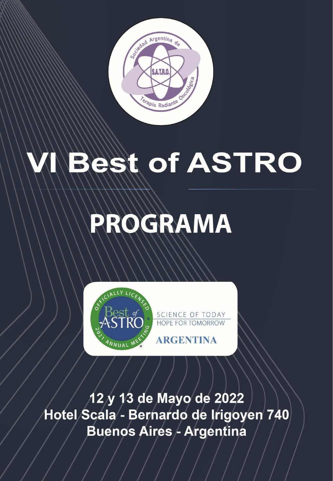

# **Best of ASTRO**

# PROGRAMA



SCIENCE OF TODAY HOPE FOR TOMORROW

12 y 13 de Mayo de 2022 Hotel Scala - Bernardo de Irigoyen 740 Buenos Aires - Argentina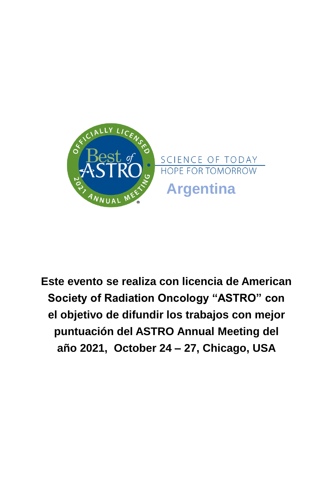

**Este evento se realiza con licencia de American Society of Radiation Oncology "ASTRO" con el objetivo de difundir los trabajos con mejor puntuación del ASTRO Annual Meeting del año 2021, October 24 – 27, Chicago, USA**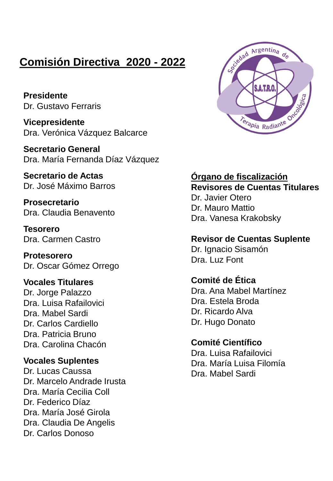### **Comisión Directiva 2020 - 2022**

**Presidente** Dr. Gustavo Ferraris

**Vicepresidente** Dra. Verónica Vázquez Balcarce

**Secretario General** Dra. María Fernanda Díaz Vázquez

**Secretario de Actas** Dr. José Máximo Barros

**Prosecretario** Dra. Claudia Benavento

**Tesorero** Dra. Carmen Castro

**Protesorero** Dr. Oscar Gómez Orrego

### **Vocales Titulares**

Dr. Jorge Palazzo Dra. Luisa Rafailovici Dra. Mabel Sardi Dr. Carlos Cardiello Dra. Patricia Bruno Dra. Carolina Chacón

#### **Vocales Suplentes**

Dr. Lucas Caussa Dr. Marcelo Andrade Irusta Dra. María Cecilia Coll Dr. Federico Díaz Dra. María José Girola Dra. Claudia De Angelis Dr. Carlos Donoso



### **Órgano de fiscalización Revisores de Cuentas Titulares**

Dr. Javier Otero Dr. Mauro Mattio Dra. Vanesa Krakobsky

#### **Revisor de Cuentas Suplente**

Dr. Ignacio Sisamón Dra. Luz Font

### **Comité de Ética**

Dra. Ana Mabel Martínez Dra. Estela Broda Dr. Ricardo Alva Dr. Hugo Donato

### **Comité Científico**

Dra. Luisa Rafailovici Dra. María Luisa Filomía Dra. Mabel Sardi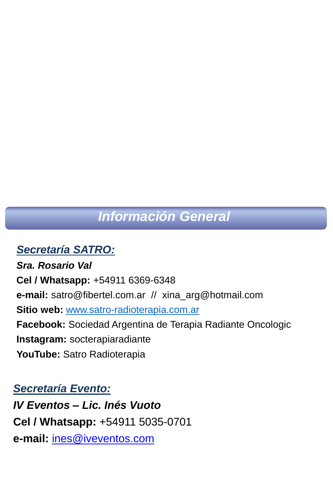# *Información General*

### *Secretaría SATRO:*

*Sra. Rosario Val* **Cel / Whatsapp:** +54911 6369-6348 **e-mail:** satro@fibertel.com.ar // xina\_arg@hotmail.com **Sitio web:** [www.satro-radioterapia.com.ar](http://www.satro-radioterapia.com.ar/) **Facebook:** Sociedad Argentina de Terapia Radiante Oncologic **Instagram:** socterapiaradiante **YouTube:** Satro Radioterapia

### *Secretaría Evento:*

*IV Eventos – Lic. Inés Vuoto* **Cel / Whatsapp:** +54911 5035-0701 **e-mail:** ines@iveventos.com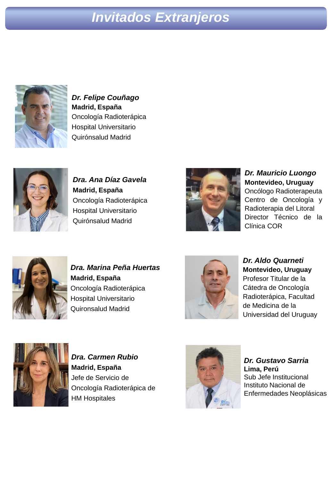# *Invitados Extranjeros*



*Dr. Felipe Couñago* **Madrid, España** Oncología Radioterápica Hospital Universitario Quirónsalud Madrid



*Dra. Ana Díaz Gavela* **Madrid, España** Oncología Radioterápica Hospital Universitario Quirónsalud Madrid



*Dr. Mauricio Luongo* **Montevideo, Uruguay** Oncólogo Radioterapeuta Centro de Oncología y Radioterapia del Litoral Director Técnico de la Clínica COR



*Dra. Marina Peña Huertas* **Madrid, España** Oncología Radioterápica Hospital Universitario Quironsalud Madrid



*Dr. Aldo Quarneti* **Montevideo, Uruguay** Profesor Titular de la Cátedra de Oncología Radioterápica, Facultad de Medicina de la Universidad del Uruguay



*Dra. Carmen Rubio* **Madrid, España** Jefe de Servicio de Oncología Radioterápica de HM Hospitales



*Dr. Gustavo Sarria* **Lima, Perú**  Sub Jefe Institucional Instituto Nacional de Enfermedades Neoplásicas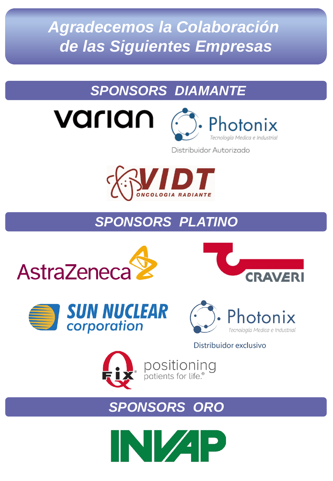*Agradecemos la Colaboración de las Siguientes Empresas*

# *SPONSORS DIAMANTE*



Distribuidor Autorizado



# *SPONSORS PLATINO*









### Distribuidor exclusivo



positioning<br>patients for life.<sup>®</sup>

# *SPONSORS ORO*

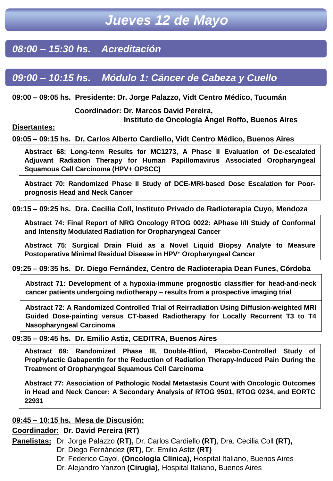### *08:00 – 15:30 hs. Acreditación*

### *09:00 – 10:15 hs. Módulo 1: Cáncer de Cabeza y Cuello*

#### **09:00 – 09:05 hs. Presidente: Dr. Jorge Palazzo, Vidt Centro Médico, Tucumán**

**Coordinador: Dr. Marcos David Pereira,**

**Instituto de Oncología Ángel Roffo, Buenos Aires**

#### **Disertantes:**

**09:05 – 09:15 hs. Dr. Carlos Alberto Cardiello, Vidt Centro Médico, Buenos Aires**

**Abstract 68: Long-term Results for MC1273, A Phase II Evaluation of De-escalated Adjuvant Radiation Therapy for Human Papillomavirus Associated Oropharyngeal Squamous Cell Carcinoma (HPV+ OPSCC)**

**Abstract 70: Randomized Phase II Study of DCE-MRI-based Dose Escalation for Poorprognosis Head and Neck Cancer**

#### **09:15 – 09:25 hs. Dra. Cecilia Coll, Instituto Privado de Radioterapia Cuyo, Mendoza**

**Abstract 74: Final Report of NRG Oncology RTOG 0022: APhase I/II Study of Conformal and Intensity Modulated Radiation for Oropharyngeal Cancer**

**Abstract 75: Surgical Drain Fluid as a Novel Liquid Biopsy Analyte to Measure Postoperative Minimal Residual Disease in HPV<sup>+</sup> Oropharyngeal Cancer**

#### **09:25 – 09:35 hs. Dr. Diego Fernández, Centro de Radioterapia Dean Funes, Córdoba**

**Abstract 71: Development of a hypoxia-immune prognostic classifier for head-and-neck cancer patients undergoing radiotherapy – results from a prospective imaging trial**

**Abstract 72: A Randomized Controlled Trial of Reirradiation Using Diffusion-weighted MRI Guided Dose-painting versus CT-based Radiotherapy for Locally Recurrent T3 to T4 Nasopharyngeal Carcinoma**

#### **09:35 – 09:45 hs. Dr. Emilio Astiz, CEDITRA, Buenos Aires**

**Abstract 69: Randomized Phase III, Double-Blind, Placebo-Controlled Study of Prophylactic Gabapentin for the Reduction of Radiation Therapy-Induced Pain During the Treatment of Oropharyngeal Squamous Cell Carcinoma**

**Abstract 77: Association of Pathologic Nodal Metastasis Count with Oncologic Outcomes in Head and Neck Cancer: A Secondary Analysis of RTOG 9501, RTOG 0234, and EORTC 22931**

#### **09:45 – 10:15 hs. Mesa de Discusión:**

#### **Coordinador: Dr. David Pereira (RT)**

**Panelistas:** Dr. Jorge Palazzo **(RT),** Dr. Carlos Cardiello **(RT)**, Dra. Cecilia Coll **(RT),**

- Dr. Diego Fernández **(RT)**, Dr. Emilio Astiz **(RT)**
- Dr. Federico Cayol, **(Oncología Clínica),** Hospital Italiano, Buenos Aires

Dr. Alejandro Yanzon **(Cirugía),** Hospital Italiano, Buenos Aires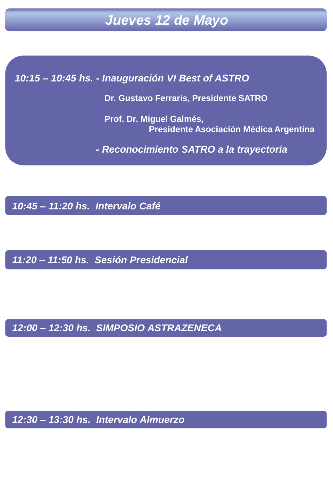*10:15 – 10:45 hs. - Inauguración VI Best of ASTRO*

**Dr. Gustavo Ferraris, Presidente SATRO**

**Prof. Dr. Miguel Galmés, Presidente Asociación Médica Argentina**

*- Reconocimiento SATRO a la trayectoria*

*10:45 – 11:20 hs. Intervalo Café*

*11:20 – 11:50 hs. Sesión Presidencial*

*12:00 – 12:30 hs. SIMPOSIO ASTRAZENECA*

*12:30 – 13:30 hs. Intervalo Almuerzo*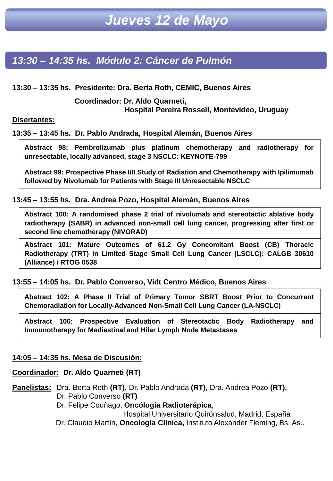### *13:30 – 14:35 hs. Módulo 2: Cáncer de Pulmón*

**13:30 – 13:35 hs. Presidente: Dra. Berta Roth, CEMIC, Buenos Aires**

**Coordinador: Dr. Aldo Quarneti, Hospital Pereira Rossell, Montevideo, Uruguay**

**Disertantes:**

**13:35 – 13:45 hs. Dr. Pablo Andrada, Hospital Alemán, Buenos Aires**

**Abstract 98: Pembrolizumab plus platinum chemotherapy and radiotherapy for unresectable, locally advanced, stage 3 NSCLC: KEYNOTE-799**

**Abstract 99: Prospective Phase I/II Study of Radiation and Chemotherapy with Ipilimumab followed by Nivolumab for Patients with Stage III Unresectable NSCLC**

**13:45 – 13:55 hs. Dra. Andrea Pozo, Hospital Alemán, Buenos Aires**

**Abstract 100: A randomised phase 2 trial of nivolumab and stereotactic ablative body radiotherapy (SABR) in advanced non-small cell lung cancer, progressing after first or second line chemotherapy (NIVORAD)**

**Abstract 101: Mature Outcomes of 61.2 Gy Concomitant Boost (CB) Thoracic Radiotherapy (TRT) in Limited Stage Small Cell Lung Cancer (LSCLC): CALGB 30610 (Alliance) / RTOG 0538**

**13:55 – 14:05 hs. Dr. Pablo Converso, Vidt Centro Médico, Buenos Aires**

**Abstract 102: A Phase II Trial of Primary Tumor SBRT Boost Prior to Concurrent Chemoradiation for Locally-Advanced Non-Small Cell Lung Cancer (LA-NSCLC)**

**Abstract 106: Prospective Evaluation of Stereotactic Body Radiotherapy and Immunotherapy for Mediastinal and Hilar Lymph Node Metastases**

#### **14:05 – 14:35 hs. Mesa de Discusión:**

#### **Coordinador: Dr. Aldo Quarneti (RT)**

**Panelistas:** Dra. Berta Roth **(RT),** Dr. Pablo Andrada **(RT),** Dra. Andrea Pozo **(RT),** Dr. Pablo Converso **(RT)**

Dr. Felipe Couñago, **Oncólogía Radioterápica**,

Hospital Universitario Quirónsalud, Madrid, España Dr. Claudio Martín, **Oncología Clínica,** Instituto Alexander Fleming, Bs. As..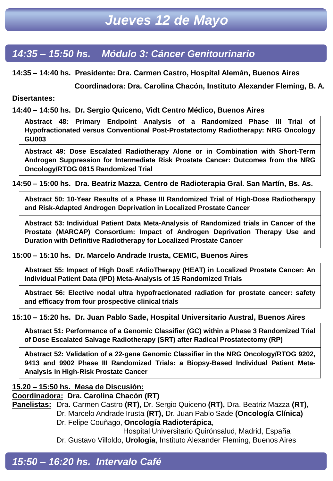### *14:35 – 15:50 hs. Módulo 3: Cáncer Genitourinario*

**14:35 – 14:40 hs. Presidente: Dra. Carmen Castro, Hospital Alemán, Buenos Aires**

**Coordinadora: Dra. Carolina Chacón, Instituto Alexander Fleming, B. A.**

#### **Disertantes:**

**14:40 – 14:50 hs. Dr. Sergio Quiceno, Vidt Centro Médico, Buenos Aires**

**Abstract 48: Primary Endpoint Analysis of a Randomized Phase III Trial of Hypofractionated versus Conventional Post-Prostatectomy Radiotherapy: NRG Oncology GU003**

**Abstract 49: Dose Escalated Radiotherapy Alone or in Combination with Short-Term Androgen Suppression for Intermediate Risk Prostate Cancer: Outcomes from the NRG Oncology/RTOG 0815 Randomized Trial**

**14:50 – 15:00 hs. Dra. Beatriz Mazza, Centro de Radioterapia Gral. San Martín, Bs. As.**

**Abstract 50: 10-Year Results of a Phase III Randomized Trial of High-Dose Radiotherapy and Risk-Adapted Androgen Deprivation in Localized Prostate Cancer**

**Abstract 53: Individual Patient Data Meta-Analysis of Randomized trials in Cancer of the Prostate (MARCAP) Consortium: Impact of Androgen Deprivation Therapy Use and Duration with Definitive Radiotherapy for Localized Prostate Cancer**

**15:00 – 15:10 hs. Dr. Marcelo Andrade Irusta, CEMIC, Buenos Aires**

**Abstract 55: Impact of High DosE rAdioTherapy (HEAT) in Localized Prostate Cancer: An Individual Patient Data (IPD) Meta-Analysis of 15 Randomized Trials**

**Abstract 56: Elective nodal ultra hypofractionated radiation for prostate cancer: safety and efficacy from four prospective clinical trials**

**15:10 – 15:20 hs. Dr. Juan Pablo Sade, Hospital Universitario Austral, Buenos Aires**

**Abstract 51: Performance of a Genomic Classifier (GC) within a Phase 3 Randomized Trial of Dose Escalated Salvage Radiotherapy (SRT) after Radical Prostatectomy (RP)**

**Abstract 52: Validation of a 22-gene Genomic Classifier in the NRG Oncology/RTOG 9202, 9413 and 9902 Phase III Randomized Trials: a Biopsy-Based Individual Patient Meta-Analysis in High-Risk Prostate Cancer**

#### **15.20 – 15:50 hs. Mesa de Discusión:**

**Coordinadora: Dra. Carolina Chacón (RT)**

**Panelistas:** Dra. Carmen Castro **(RT)**, Dr. Sergio Quiceno **(RT),** Dra. Beatriz Mazza **(RT),** Dr. Marcelo Andrade Irusta **(RT),** Dr. Juan Pablo Sade **(Oncología Clínica)**

Dr. Felipe Couñago, **Oncología Radioterápica**,

Hospital Universitario Quirónsalud, Madrid, España Dr. Gustavo Villoldo, **Urología**, Instituto Alexander Fleming, Buenos Aires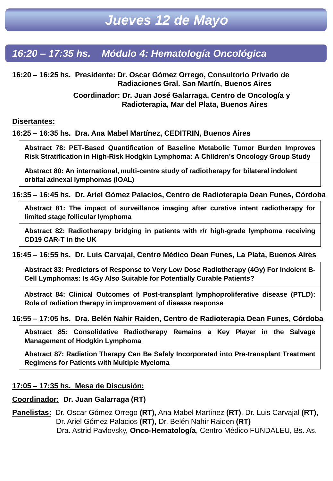### *18:20 – 19:35 hs. Módulo 5: Hematología Oncológica 16:20 – 17:35 hs. Módulo 4: Hematología Oncológica*

**16:20 – 16:25 hs. Presidente: Dr. Oscar Gómez Orrego, Consultorio Privado de Radiaciones Gral. San Martín, Buenos Aires**

> **Coordinador: Dr. Juan José Galarraga, Centro de Oncología y Radioterapia, Mar del Plata, Buenos Aires**

#### **Disertantes:**

#### **16:25 – 16:35 hs. Dra. Ana Mabel Martínez, CEDITRIN, Buenos Aires**

**Abstract 78: PET-Based Quantification of Baseline Metabolic Tumor Burden Improves Risk Stratification in High-Risk Hodgkin Lymphoma: A Children's Oncology Group Study**

**Abstract 80: An international, multi-centre study of radiotherapy for bilateral indolent orbital adnexal lymphomas (IOAL)**

#### **16:35 – 16:45 hs. Dr. Ariel Gómez Palacios, Centro de Radioterapia Dean Funes, Córdoba**

**Abstract 81: The impact of surveillance imaging after curative intent radiotherapy for limited stage follicular lymphoma**

**Abstract 82: Radiotherapy bridging in patients with r/r high-grade lymphoma receiving CD19 CAR-T in the UK**

#### **16:45 – 16:55 hs. Dr. Luis Carvajal, Centro Médico Dean Funes, La Plata, Buenos Aires**

**Abstract 83: Predictors of Response to Very Low Dose Radiotherapy (4Gy) For Indolent B-Cell Lymphomas: Is 4Gy Also Suitable for Potentially Curable Patients?**

**Abstract 84: Clinical Outcomes of Post-transplant lymphoproliferative disease (PTLD): Role of radiation therapy in improvement of disease response**

#### **16:55 – 17:05 hs. Dra. Belén Nahir Raiden, Centro de Radioterapia Dean Funes, Córdoba**

**Abstract 85: Consolidative Radiotherapy Remains a Key Player in the Salvage Management of Hodgkin Lymphoma**

**Abstract 87: Radiation Therapy Can Be Safely Incorporated into Pre-transplant Treatment Regimens for Patients with Multiple Myeloma**

#### **17:05 – 17:35 hs. Mesa de Discusión:**

#### **Coordinador: Dr. Juan Galarraga (RT)**

**Panelistas:** Dr. Oscar Gómez Orrego **(RT)**, Ana Mabel Martínez **(RT)**, Dr. Luis Carvajal **(RT),**  Dr. Ariel Gómez Palacios **(RT),** Dr. Belén Nahir Raiden **(RT)** Dra. Astrid Pavlovsky, **Onco-Hematología**, Centro Médico FUNDALEU, Bs. As.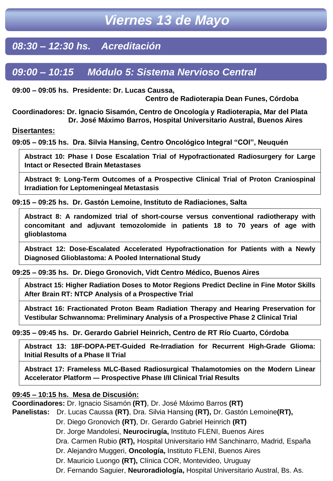### *08:30 – 12:30 hs. Acreditación*

### *09:00 – 10:15 Módulo 5: Sistema Nervioso Central*

**09:00 – 09:05 hs. Presidente: Dr. Lucas Caussa,**

**Centro de Radioterapia Dean Funes, Córdoba**

**Coordinadores: Dr. Ignacio Sisamón, Centro de Oncología y Radioterapia, Mar del Plata Dr. José Máximo Barros, Hospital Universitario Austral, Buenos Aires**

**Disertantes:**

**09:05 – 09:15 hs. Dra. Silvia Hansing, Centro Oncológico Integral "COI", Neuquén** 

**Abstract 10: Phase I Dose Escalation Trial of Hypofractionated Radiosurgery for Large Intact or Resected Brain Metastases**

**Abstract 9: Long-Term Outcomes of a Prospective Clinical Trial of Proton Craniospinal Irradiation for Leptomeningeal Metastasis**

**09:15 – 09:25 hs. Dr. Gastón Lemoine, Instituto de Radiaciones, Salta**

**Abstract 8: A randomized trial of short-course versus conventional radiotherapy with concomitant and adjuvant temozolomide in patients 18 to 70 years of age with glioblastoma**

**Abstract 12: Dose-Escalated Accelerated Hypofractionation for Patients with a Newly Diagnosed Glioblastoma: A Pooled International Study**

#### **09:25 – 09:35 hs. Dr. Diego Gronovich, Vidt Centro Médico, Buenos Aires**

**Abstract 15: Higher Radiation Doses to Motor Regions Predict Decline in Fine Motor Skills After Brain RT: NTCP Analysis of a Prospective Trial**

**Abstract 16: Fractionated Proton Beam Radiation Therapy and Hearing Preservation for Vestibular Schwannoma: Preliminary Analysis of a Prospective Phase 2 Clinical Trial**

#### **09:35 – 09:45 hs. Dr. Gerardo Gabriel Heinrich, Centro de RT Río Cuarto, Córdoba**

**Abstract 13: 18F-DOPA-PET-Guided Re-Irradiation for Recurrent High-Grade Glioma: Initial Results of a Phase II Trial**

**Abstract 17: Frameless MLC-Based Radiosurgical Thalamotomies on the Modern Linear Accelerator Platform ― Prospective Phase I/II Clinical Trial Results**

#### **09:45 – 10:15 hs. Mesa de Discusión:**

**Coordinadores:** Dr. Ignacio Sisamón **(RT)**, Dr. José Máximo Barros **(RT)**

**Panelistas:** Dr. Lucas Caussa **(RT)**, Dra. Silvia Hansing **(RT),** Dr. Gastón Lemoine**(RT),**

Dr. Diego Gronovich **(RT)**, Dr. Gerardo Gabriel Heinrich **(RT)**

Dr. Jorge Mandolesi, **Neurocirugía,** Instituto FLENI, Buenos Aires

Dra. Carmen Rubio **(RT),** Hospital Universitario HM Sanchinarro, Madrid, España

Dr. Alejandro Muggeri, **Oncología,** Instituto FLENI, Buenos Aires

Dr. Mauricio Luongo **(RT),** Clínica COR, Montevideo, Uruguay

Dr. Fernando Saguier, **Neuroradiología,** Hospital Universitario Austral, Bs. As.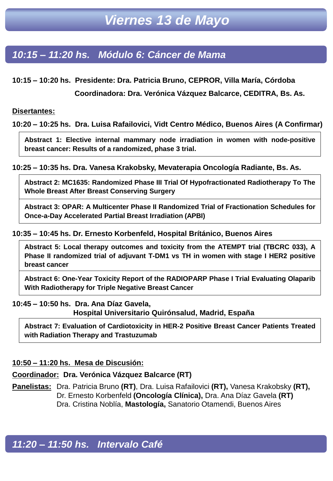### *10:15 – 11:20 hs. Módulo 6: Cáncer de Mama*

**10:15 – 10:20 hs. Presidente: Dra. Patricia Bruno, CEPROR, Villa María, Córdoba**

**Coordinadora: Dra. Verónica Vázquez Balcarce, CEDITRA, Bs. As.**

#### **Disertantes:**

**10:20 – 10:25 hs. Dra. Luisa Rafailovici, Vidt Centro Médico, Buenos Aires (A Confirmar)**

**Abstract 1: Elective internal mammary node irradiation in women with node-positive breast cancer: Results of a randomized, phase 3 trial.**

#### **10:25 – 10:35 hs. Dra. Vanesa Krakobsky, Mevaterapia Oncología Radiante, Bs. As.**

**Abstract 2: MC1635: Randomized Phase III Trial Of Hypofractionated Radiotherapy To The Whole Breast After Breast Conserving Surgery**

**Abstract 3: OPAR: A Multicenter Phase II Randomized Trial of Fractionation Schedules for Once-a-Day Accelerated Partial Breast Irradiation (APBI)**

#### **10:35 – 10:45 hs. Dr. Ernesto Korbenfeld, Hospital Brítánico, Buenos Aires**

**Abstract 5: Local therapy outcomes and toxicity from the ATEMPT trial (TBCRC 033), A Phase II randomized trial of adjuvant T-DM1 vs TH in women with stage I HER2 positive breast cancer**

**Abstract 6: One-Year Toxicity Report of the RADIOPARP Phase I Trial Evaluating Olaparib With Radiotherapy for Triple Negative Breast Cancer**

#### **10:45 – 10:50 hs. Dra. Ana Díaz Gavela,**

**Hospital Universitario Quirónsalud, Madrid, España**

**Abstract 7: Evaluation of Cardiotoxicity in HER-2 Positive Breast Cancer Patients Treated with Radiation Therapy and Trastuzumab**

#### **10:50 – 11:20 hs. Mesa de Discusión:**

#### **Coordinador: Dra. Verónica Vázquez Balcarce (RT)**

**Panelistas:** Dra. Patricia Bruno **(RT)**, Dra. Luisa Rafailovici **(RT),** Vanesa Krakobsky **(RT),** Dr. Ernesto Korbenfeld **(Oncología Clínica),** Dra. Ana Díaz Gavela **(RT)** Dra. Cristina Noblía, **Mastología,** Sanatorio Otamendi, Buenos Aires

*11:20 – 11:50 hs. Intervalo Café*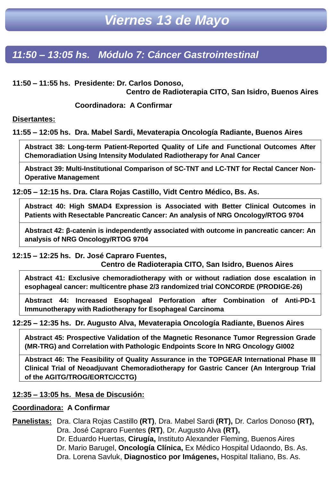### *11:50 – 13:05 hs. Módulo 7: Cáncer Gastrointestinal*

**11:50 – 11:55 hs. Presidente: Dr. Carlos Donoso,**

**Centro de Radioterapia CITO, San Isidro, Buenos Aires**

**Coordinadora: A Confirmar**

**Disertantes:**

**11:55 – 12:05 hs. Dra. Mabel Sardi, Mevaterapia Oncología Radiante, Buenos Aires**

**Abstract 38: Long-term Patient-Reported Quality of Life and Functional Outcomes After Chemoradiation Using Intensity Modulated Radiotherapy for Anal Cancer**

**Abstract 39: Multi-Institutional Comparison of SC-TNT and LC-TNT for Rectal Cancer Non-Operative Management**

**12:05 – 12:15 hs. Dra. Clara Rojas Castillo, Vidt Centro Médico, Bs. As.**

**Abstract 40: High SMAD4 Expression is Associated with Better Clinical Outcomes in Patients with Resectable Pancreatic Cancer: An analysis of NRG Oncology/RTOG 9704**

**Abstract 42: β-catenin is independently associated with outcome in pancreatic cancer: An analysis of NRG Oncology/RTOG 9704**

**12:15 – 12:25 hs. Dr. José Capraro Fuentes,**

**Centro de Radioterapia CITO, San Isidro, Buenos Aires**

**Abstract 41: Exclusive chemoradiotherapy with or without radiation dose escalation in esophageal cancer: multicentre phase 2/3 randomized trial CONCORDE (PRODIGE-26)**

**Abstract 44: Increased Esophageal Perforation after Combination of Anti-PD-1 Immunotherapy with Radiotherapy for Esophageal Carcinoma**

**12:25 – 12:35 hs. Dr. Augusto Alva, Mevaterapia Oncología Radiante, Buenos Aires**

**Abstract 45: Prospective Validation of the Magnetic Resonance Tumor Regression Grade (MR-TRG) and Correlation with Pathologic Endpoints Score In NRG Oncology GI002**

**Abstract 46: The Feasibility of Quality Assurance in the TOPGEAR International Phase III Clinical Trial of Neoadjuvant Chemoradiotherapy for Gastric Cancer (An Intergroup Trial of the AGITG/TROG/EORTC/CCTG)**

#### **12:35 – 13:05 hs. Mesa de Discusión:**

#### **Coordinadora: A Confirmar**

**Panelistas:** Dra. Clara Rojas Castillo **(RT)**, Dra. Mabel Sardi **(RT),** Dr. Carlos Donoso **(RT),** Dra. José Capraro Fuentes **(RT)**, Dr. Augusto Alva **(RT),**

> Dr. Eduardo Huertas, **Cirugía,** Instituto Alexander Fleming, Buenos Aires Dr. Mario Barugel, **Oncología Clínica,** Ex Médico Hospital Udaondo, Bs. As. Dra. Lorena Savluk, **Diagnostico por Imágenes,** Hospital Italiano, Bs. As.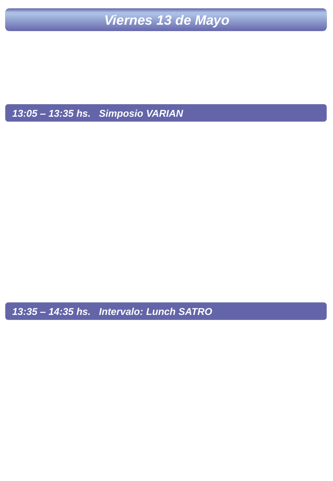*13:05 – 13:35 hs. Simposio VARIAN*

*13:35 – 14:35 hs. Intervalo: Lunch SATRO*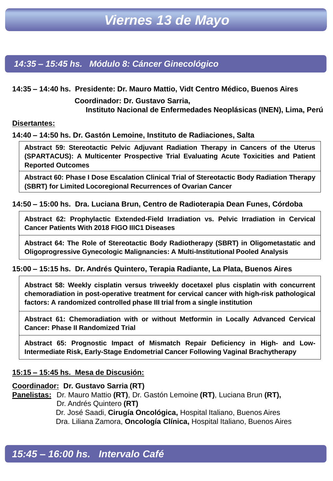*14:35 – 15:45 hs. Módulo 8: Cáncer Ginecológico*

**14:35 – 14:40 hs. Presidente: Dr. Mauro Mattio, Vidt Centro Médico, Buenos Aires**

**Coordinador: Dr. Gustavo Sarria,**

**Instituto Nacional de Enfermedades Neoplásicas (INEN), Lima, Perú**

#### **Disertantes:**

**14:40 – 14:50 hs. Dr. Gastón Lemoine, Instituto de Radiaciones, Salta**

**Abstract 59: Stereotactic Pelvic Adjuvant Radiation Therapy in Cancers of the Uterus (SPARTACUS): A Multicenter Prospective Trial Evaluating Acute Toxicities and Patient Reported Outcomes**

**Abstract 60: Phase I Dose Escalation Clinical Trial of Stereotactic Body Radiation Therapy (SBRT) for Limited Locoregional Recurrences of Ovarian Cancer**

#### **14:50 – 15:00 hs. Dra. Luciana Brun, Centro de Radioterapia Dean Funes, Córdoba**

**Abstract 62: Prophylactic Extended-Field Irradiation vs. Pelvic Irradiation in Cervical Cancer Patients With 2018 FIGO IIIC1 Diseases**

**Abstract 64: The Role of Stereotactic Body Radiotherapy (SBRT) in Oligometastatic and Oligoprogressive Gynecologic Malignancies: A Multi-Institutional Pooled Analysis**

#### **15:00 – 15:15 hs. Dr. Andrés Quintero, Terapia Radiante, La Plata, Buenos Aires**

**Abstract 58: Weekly cisplatin versus triweekly docetaxel plus cisplatin with concurrent chemoradiation in post-operative treatment for cervical cancer with high-risk pathological factors: A randomized controlled phase III trial from a single institution**

**Abstract 61: Chemoradiation with or without Metformin in Locally Advanced Cervical Cancer: Phase II Randomized Trial**

**Abstract 65: Prognostic Impact of Mismatch Repair Deficiency in High- and Low-Intermediate Risk, Early-Stage Endometrial Cancer Following Vaginal Brachytherapy**

#### **15:15 – 15:45 hs. Mesa de Discusión:**

#### **Coordinador: Dr. Gustavo Sarria (RT)**

**Panelistas:** Dr. Mauro Mattio **(RT)**, Dr. Gastón Lemoine **(RT)**, Luciana Brun **(RT),** Dr. Andrés Quintero **(RT)**

Dr. José Saadi, **Cirugía Oncológica,** Hospital Italiano, Buenos Aires Dra. Liliana Zamora, **Oncología Clínica,** Hospital Italiano, Buenos Aires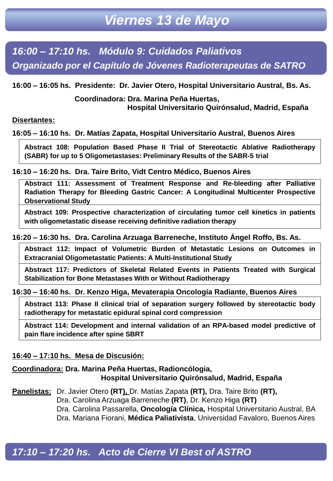*16:00 – 17:10 hs. Módulo 9: Cuidados Paliativos Organizado por el Capítulo de Jóvenes Radioterapeutas de SATRO*

**16:00 – 16:05 hs. Presidente: Dr. Javier Otero, Hospital Universitario Austral, Bs. As.**

**Coordinadora: Dra. Marina Peña Huertas, Hospital Universitario Quirónsalud, Madrid, España**

#### **Disertantes:**

**16:05 – 16:10 hs. Dr. Matías Zapata, Hospital Universitario Austral, Buenos Aires** 

**Abstract 108: Population Based Phase II Trial of Stereotactic Ablative Radiotherapy (SABR) for up to 5 Oligometastases: Preliminary Results of the SABR-5 trial**

**16:10 – 16:20 hs. Dra. Taire Brito, Vidt Centro Médico, Buenos Aires**

**Abstract 111: Assessment of Treatment Response and Re-bleeding after Palliative Radiation Therapy for Bleeding Gastric Cancer: A Longitudinal Multicenter Prospective Observational Study**

**Abstract 109: Prospective characterization of circulating tumor cell kinetics in patients with oligometastatic disease receiving definitive radiation therapy**

#### **16:20 – 16:30 hs. Dra. Carolina Arzuaga Barreneche, Instituto Ángel Roffo, Bs. As.**

**Abstract 112: Impact of Volumetric Burden of Metastatic Lesions on Outcomes in Extracranial Oligometastatic Patients: A Multi-Institutional Study**

**Abstract 117: Predictors of Skeletal Related Events in Patients Treated with Surgical Stabilization for Bone Metastases With or Without Radiotherapy**

**16:30 – 16:40 hs. Dr. Kenzo Higa, Mevaterapia Oncología Radiante, Buenos Aires**

**Abstract 113: Phase II clinical trial of separation surgery followed by stereotactic body radiotherapy for metastatic epidural spinal cord compression**

**Abstract 114: Development and internal validation of an RPA-based model predictive of pain flare incidence after spine SBRT**

#### **16:40 – 17:10 hs. Mesa de Discusión:**

**Coordinadora: Dra. Marina Peña Huertas, Radioncólogia, Hospital Universitario Quirónsalud, Madrid, España**

**Panelistas:** Dr. Javier Otero **(RT),** Dr. Matías Zapata **(RT),** Dra. Taire Brito **(RT),** Dra. Carolina Arzuaga Barreneche **(RT)**, Dr. Kenzo Higa **(RT)** Dra. Carolina Passarella, **Oncología Clínica,** Hospital Universitario Austral, BA Dra. Mariana Fiorani, **Médica Paliativista**, Universidad Favaloro, Buenos Aires